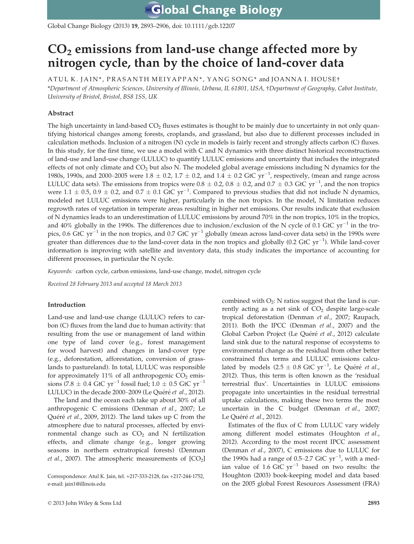Global Change Biology (2013) 19, 2893–2906, doi: 10.1111/gcb.12207

# $CO<sub>2</sub>$  emissions from land-use change affected more by nitrogen cycle, than by the choice of land-cover data

A TUL K. JAIN\*, PRASANTH MEIYAPPAN\*, YANG SONG\* and JOANNA I. HOUSE† \*Department of Atmospheric Sciences, University of Illinois, Urbana, IL 61801, USA, †Department of Geography, Cabot Institute, University of Bristol, Bristol, BS8 1SS, UK

# Abstract

The high uncertainty in land-based  $CO<sub>2</sub>$  fluxes estimates is thought to be mainly due to uncertainty in not only quantifying historical changes among forests, croplands, and grassland, but also due to different processes included in calculation methods. Inclusion of a nitrogen (N) cycle in models is fairly recent and strongly affects carbon (C) fluxes. In this study, for the first time, we use a model with C and N dynamics with three distinct historical reconstructions of land-use and land-use change (LULUC) to quantify LULUC emissions and uncertainty that includes the integrated effects of not only climate and  $CO<sub>2</sub>$  but also N. The modeled global average emissions including N dynamics for the 1980s, 1990s, and 2000–2005 were  $1.8 \pm 0.2$ ,  $1.7 \pm 0.2$ , and  $1.4 \pm 0.2$  GtC yr<sup>-1</sup>, respectively, (mean and range across LULUC data sets). The emissions from tropics were  $0.8 \pm 0.2$ ,  $0.8 \pm 0.2$ , and  $0.7 \pm 0.3$  GtC yr<sup>-1</sup>, and the non tropics were  $1.1 \pm 0.5$ ,  $0.9 \pm 0.2$ , and  $0.7 \pm 0.1$  GtC yr<sup>-1</sup>. Compared to previous studies that did not include N dynamics, modeled net LULUC emissions were higher, particularly in the non tropics. In the model, N limitation reduces regrowth rates of vegetation in temperate areas resulting in higher net emissions. Our results indicate that exclusion of N dynamics leads to an underestimation of LULUC emissions by around 70% in the non tropics, 10% in the tropics, and 40% globally in the 1990s. The differences due to inclusion/exclusion of the N cycle of 0.1 GtC  $yr^{-1}$  in the tropics, 0.6 GtC  $yr^{-1}$  in the non tropics, and 0.7 GtC  $yr^{-1}$  globally (mean across land-cover data sets) in the 1990s were greater than differences due to the land-cover data in the non tropics and globally (0.2 GtC  $\rm{yr}^{-1}$ ). While land-cover information is improving with satellite and inventory data, this study indicates the importance of accounting for different processes, in particular the N cycle.

Keywords: carbon cycle, carbon emissions, land-use change, model, nitrogen cycle

Received 28 February 2013 and accepted 18 March 2013

# Introduction

Land-use and land-use change (LULUC) refers to carbon (C) fluxes from the land due to human activity: that resulting from the use or management of land within one type of land cover (e.g., forest management for wood harvest) and changes in land-cover type (e.g., deforestation, afforestation, conversion of grasslands to pastureland). In total, LULUC was responsible for approximately 11% of all anthropogenic  $CO<sub>2</sub>$  emissions (7.8  $\pm$  0.4 GtC yr<sup>-1</sup> fossil fuel; 1.0  $\pm$  0.5 GtC yr<sup>-1</sup> LULUC) in the decade 2000-2009 (Le Quéré et al., 2012).

The land and the ocean each take up about 30% of all anthropogenic C emissions (Denman et al., 2007; Le Quéré et al., 2009, 2012). The land takes up  $C$  from the atmosphere due to natural processes, affected by environmental change such as  $CO<sub>2</sub>$  and N fertilization effects, and climate change (e.g., longer growing seasons in northern extratropical forests) (Denman *et al.*, 2007). The atmospheric measurements of  $[CO<sub>2</sub>]$ 

combined with  $O_2$ : N ratios suggest that the land is currently acting as a net sink of  $CO<sub>2</sub>$  despite large-scale tropical deforestation (Denman et al., 2007; Raupach, 2011). Both the IPCC (Denman et al., 2007) and the Global Carbon Project (Le Quéré et al., 2012) calculate land sink due to the natural response of ecosystems to environmental change as the residual from other better constrained flux terms and LULUC emissions calculated by models  $(2.5 \pm 0.8 \text{ GtC yr}^{-1})$ , Le Quéré *et al.*, 2012). Thus, this term is often known as the 'residual terrestrial flux'. Uncertainties in LULUC emissions propagate into uncertainties in the residual terrestrial uptake calculations, making these two terms the most uncertain in the C budget (Denman et al., 2007; Le Quéré et al., 2012).

Estimates of the flux of C from LULUC vary widely among different model estimates (Houghton et al., 2012). According to the most recent IPCC assessment (Denman et al., 2007), C emissions due to LULUC for the 1990s had a range of 0.5–2.7 GtC  $\text{yr}^{-1}$ , with a median value of 1.6 GtC  $yr^{-1}$  based on two results: the Houghton (2003) book-keeping model and data based on the 2005 global Forest Resources Assessment (FRA)

Correspondence: Atul K. Jain, tel. +217-333-2128, fax +217-244-1752, e-mail: jain1@illinois.edu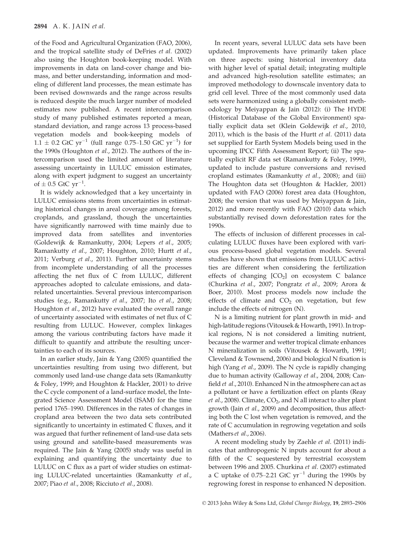of the Food and Agricultural Organization (FAO, 2006), and the tropical satellite study of DeFries et al. (2002) also using the Houghton book-keeping model. With improvements in data on land-cover change and biomass, and better understanding, information and modeling of different land processes, the mean estimate has been revised downwards and the range across results is reduced despite the much larger number of modeled estimates now published. A recent intercomparison study of many published estimates reported a mean, standard deviation, and range across 13 process-based vegetation models and book-keeping models of  $1.1 \pm 0.2$  GtC yr<sup>-1</sup> (full range 0.75–1.50 GtC yr<sup>-1</sup>) for the 1990s (Houghton et al., 2012). The authors of the intercomparison used the limited amount of literature assessing uncertainty in LULUC emission estimates, along with expert judgment to suggest an uncertainty of  $\pm$  0.5 GtC yr<sup>-1</sup>.

It is widely acknowledged that a key uncertainty in LULUC emissions stems from uncertainties in estimating historical changes in areal coverage among forests, croplands, and grassland, though the uncertainties have significantly narrowed with time mainly due to improved data from satellites and inventories (Goldewijk & Ramankutty, 2004; Lepers et al., 2005; Ramankutty et al., 2007; Houghton, 2010; Hurtt et al., 2011; Verburg et al., 2011). Further uncertainty stems from incomplete understanding of all the processes affecting the net flux of C from LULUC, different approaches adopted to calculate emissions, and datarelated uncertainties. Several previous intercomparison studies (e.g., Ramankutty et al., 2007; Ito et al., 2008; Houghton et al., 2012) have evaluated the overall range of uncertainty associated with estimates of net flux of C resulting from LULUC. However, complex linkages among the various contributing factors have made it difficult to quantify and attribute the resulting uncertainties to each of its sources.

In an earlier study, Jain & Yang (2005) quantified the uncertainties resulting from using two different, but commonly used land-use change data sets (Ramankutty & Foley, 1999; and Houghton & Hackler, 2001) to drive the C cycle component of a land-surface model, the Integrated Science Assessment Model (ISAM) for the time period 1765–1990. Differences in the rates of changes in cropland area between the two data sets contributed significantly to uncertainty in estimated C fluxes, and it was argued that further refinement of land-use data sets using ground and satellite-based measurements was required. The Jain & Yang (2005) study was useful in explaining and quantifying the uncertainty due to LULUC on C flux as a part of wider studies on estimating LULUC-related uncertainties (Ramankutty et al., 2007; Piao et al., 2008; Ricciuto et al., 2008).

In recent years, several LULUC data sets have been updated. Improvements have primarily taken place on three aspects: using historical inventory data with higher level of spatial detail; integrating multiple and advanced high-resolution satellite estimates; an improved methodology to downscale inventory data to grid cell level. Three of the most commonly used data sets were harmonized using a globally consistent methodology by Meiyappan & Jain (2012): (i) The HYDE (Historical Database of the Global Environment) spatially explicit data set (Klein Goldewijk et al., 2010, 2011), which is the basis of the Hurtt et al. (2011) data set supplied for Earth System Models being used in the upcoming IPCC Fifth Assessment Report; (ii) The spatially explicit RF data set (Ramankutty & Foley, 1999), updated to include pasture conversions and revised cropland estimates (Ramankutty et al., 2008); and (iii) The Houghton data set (Houghton & Hackler, 2001) updated with FAO (2006) forest area data (Houghton, 2008; the version that was used by Meiyappan & Jain, 2012) and more recently with FAO (2010) data which substantially revised down deforestation rates for the 1990s.

The effects of inclusion of different processes in calculating LULUC fluxes have been explored with various process-based global vegetation models. Several studies have shown that emissions from LULUC activities are different when considering the fertilization effects of changing  $[CO<sub>2</sub>]$  on ecosystem C balance (Churkina et al., 2007; Pongratz et al., 2009; Arora & Boer, 2010). Most process models now include the effects of climate and  $CO<sub>2</sub>$  on vegetation, but few include the effects of nitrogen (N).

N is a limiting nutrient for plant growth in mid- and high-latitude regions (Vitousek & Howarth, 1991). In tropical regions, N is not considered a limiting nutrient, because the warmer and wetter tropical climate enhances N mineralization in soils (Vitousek & Howarth, 1991; Cleveland & Townsend, 2006) and biological N fixation is high (Yang et al., 2009). The N cycle is rapidly changing due to human activity (Galloway et al., 2004, 2008; Canfield et al., 2010). Enhanced N in the atmosphere can act as a pollutant or have a fertilization effect on plants (Reay *et al.*, 2008). Climate,  $CO<sub>2</sub>$ , and N all interact to alter plant growth (Jain et al., 2009) and decomposition, thus affecting both the C lost when vegetation is removed, and the rate of C accumulation in regrowing vegetation and soils (Mathers et al., 2006).

A recent modeling study by Zaehle et al. (2011) indicates that anthropogenic N inputs account for about a fifth of the C sequestered by terrestrial ecosystem between 1996 and 2005. Churkina et al. (2007) estimated a C uptake of 0.75–2.21 GtC  $yr^{-1}$  during the 1990s by regrowing forest in response to enhanced N deposition.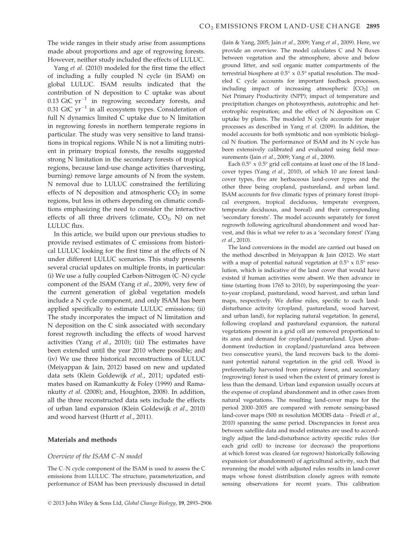The wide ranges in their study arise from assumptions made about proportions and age of regrowing forests. However, neither study included the effects of LULUC.

Yang et al. (2010) modeled for the first time the effect of including a fully coupled N cycle (in ISAM) on global LULUC. ISAM results indicated that the contribution of N deposition to C uptake was about 0.13 GtC  $yr^{-1}$  in regrowing secondary forests, and 0.31 GtC  $yr^{-1}$  in all ecosystem types. Consideration of full N dynamics limited C uptake due to N limitation in regrowing forests in northern temperate regions in particular. The study was very sensitive to land transitions in tropical regions. While N is not a limiting nutrient in primary tropical forests, the results suggested strong N limitation in the secondary forests of tropical regions, because land-use change activities (harvesting, burning) remove large amounts of N from the system. N removal due to LULUC constrained the fertilizing effects of  $N$  deposition and atmospheric  $CO<sub>2</sub>$  in some regions, but less in others depending on climatic conditions emphasizing the need to consider the interactive effects of all three drivers (climate,  $CO<sub>2</sub>$ , N) on net LULUC flux.

In this article, we build upon our previous studies to provide revised estimates of C emissions from historical LULUC looking for the first time at the effects of N under different LULUC scenarios. This study presents several crucial updates on multiple fronts, in particular: (i) We use a fully coupled Carbon-Nitrogen (C–N) cycle component of the ISAM (Yang et al., 2009), very few of the current generation of global vegetation models include a N cycle component, and only ISAM has been applied specifically to estimate LULUC emissions; (ii) The study incorporates the impact of N limitation and N deposition on the C sink associated with secondary forest regrowth including the effects of wood harvest activities (Yang et al., 2010); (iii) The estimates have been extended until the year 2010 where possible; and (iv) We use three historical reconstructions of LULUC (Meiyappan & Jain, 2012) based on new and updated data sets (Klein Goldewijk et al., 2011; updated estimates based on Ramankutty & Foley (1999) and Ramankutty et al. (2008); and, Houghton, 2008). In addition, all the three reconstructed data sets include the effects of urban land expansion (Klein Goldewijk et al., 2010) and wood harvest (Hurtt et al., 2011).

#### Materials and methods

#### Overview of the ISAM C–N model

The C–N cycle component of the ISAM is used to assess the C emissions from LULUC. The structure, parameterization, and performance of ISAM has been previously discussed in detail (Jain & Yang, 2005; Jain et al., 2009; Yang et al., 2009). Here, we provide an overview. The model calculates C and N fluxes between vegetation and the atmosphere, above and below ground litter, and soil organic matter compartments of the terrestrial biosphere at 0.5° x 0.5° spatial resolution. The modeled C cycle accounts for important feedback processes, including impact of increasing atmospheric  $[CO<sub>2</sub>]$  on Net Primary Productivity (NPP); impact of temperature and precipitation changes on photosynthesis, autotrophic and heterotrophic respiration; and the effect of N deposition on C uptake by plants. The modeled N cycle accounts for major processes as described in Yang et al. (2009). In addition, the model accounts for both symbiotic and non symbiotic biological N fixation. The performance of ISAM and its N cycle has been extensively calibrated and evaluated using field measurements (Jain et al., 2009; Yang et al., 2009).

Each 0.5° x 0.5° grid cell contains at least one of the 18 landcover types (Yang et al., 2010), of which 10 are forest landcover types, five are herbaceous land-cover types and the other three being cropland, pastureland, and urban land. ISAM accounts for five climatic types of primary forest (tropical evergreen, tropical deciduous, temperate evergreen, temperate deciduous, and boreal) and their corresponding 'secondary forests'. The model accounts separately for forest regrowth following agricultural abandonment and wood harvest, and this is what we refer to as a 'secondary forest' (Yang et al., 2010).

The land conversions in the model are carried out based on the method described in Meiyappan & Jain (2012). We start with a map of potential natural vegetation at  $0.5^{\circ} \times 0.5^{\circ}$  resolution, which is indicative of the land cover that would have existed if human activities were absent. We then advance in time (starting from 1765 to 2010), by superimposing the yearto-year cropland, pastureland, wood harvest, and urban land maps, respectively. We define rules, specific to each landdisturbance activity (cropland, pastureland, wood harvest, and urban land), for replacing natural vegetation. In general, following cropland and pastureland expansion, the natural vegetations present in a grid cell are removed proportional to its area and demand for cropland/pastureland. Upon abandonment (reduction in cropland/pastureland area between two consecutive years), the land recovers back to the dominant potential natural vegetation in the grid cell. Wood is preferentially harvested from primary forest, and secondary (regrowing) forest is used when the extent of primary forest is less than the demand. Urban land expansion usually occurs at the expense of cropland abandonment and in other cases from natural vegetations. The resulting land-cover maps for the period 2000–2005 are compared with remote sensing-based land-cover maps (500 m resolution MODIS data – Friedl et al., 2010) spanning the same period. Discrepancies in forest area between satellite data and model estimates are used to accordingly adjust the land-disturbance activity specific rules (for each grid cell) to increase (or decrease) the proportions at which forest was cleared (or regrown) historically following expansion (or abandonment) of agricultural activity, such that rerunning the model with adjusted rules results in land-cover maps whose forest distribution closely agrees with remote sensing observations for recent years. This calibration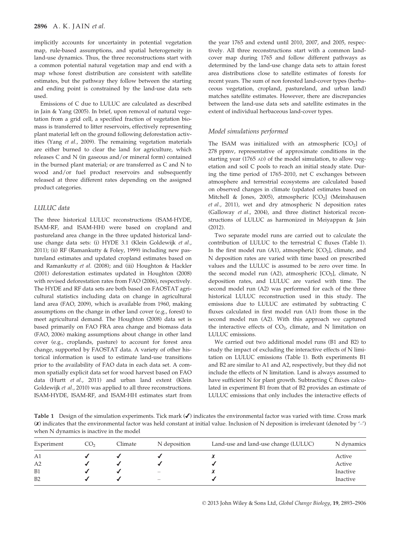implicitly accounts for uncertainty in potential vegetation map, rule-based assumptions, and spatial heterogeneity in land-use dynamics. Thus, the three reconstructions start with a common potential natural vegetation map and end with a map whose forest distribution are consistent with satellite estimates, but the pathway they follow between the starting and ending point is constrained by the land-use data sets used.

Emissions of C due to LULUC are calculated as described in Jain & Yang (2005). In brief, upon removal of natural vegetation from a grid cell, a specified fraction of vegetation biomass is transferred to litter reservoirs, effectively representing plant material left on the ground following deforestation activities (Yang et al., 2009). The remaining vegetation materials are either burned to clear the land for agriculture, which releases C and N (in gaseous and/or mineral form) contained in the burned plant material; or are transferred as C and N to wood and/or fuel product reservoirs and subsequently released at three different rates depending on the assigned product categories.

#### LULUC data

The three historical LULUC reconstructions (ISAM-HYDE, ISAM-RF, and ISAM-HH) were based on cropland and pastureland area change in the three updated historical landuse change data sets: (i) HYDE 3.1 (Klein Goldewijk et al., 2011); (ii) RF (Ramankutty & Foley, 1999) including new pastureland estimates and updated cropland estimates based on and Ramankutty et al. (2008); and (iii) Houghton & Hackler (2001) deforestation estimates updated in Houghton (2008) with revised deforestation rates from FAO (2006), respectively. The HYDE and RF data sets are both based on FAOSTAT agricultural statistics including data on change in agricultural land area (FAO, 2009), which is available from 1960, making assumptions on the change in other land cover (e.g., forest) to meet agricultural demand. The Houghton (2008) data set is based primarily on FAO FRA area change and biomass data (FAO, 2006) making assumptions about change in other land cover (e.g., croplands, pasture) to account for forest area change, supported by FAOSTAT data. A variety of other historical information is used to estimate land-use transitions prior to the availability of FAO data in each data set. A common spatially explicit data set for wood harvest based on FAO data (Hurtt et al., 2011) and urban land extent (Klein Goldewijk et al., 2010) was applied to all three reconstructions. ISAM-HYDE, ISAM-RF, and ISAM-HH estimates start from the year 1765 and extend until 2010, 2007, and 2005, respectively. All three reconstructions start with a common landcover map during 1765 and follow different pathways as determined by the land-use change data sets to attain forest area distributions close to satellite estimates of forests for recent years. The sum of non forested land-cover types (herbaceous vegetation, cropland, pastureland, and urban land) matches satellite estimates. However, there are discrepancies between the land-use data sets and satellite estimates in the extent of individual herbaceous land-cover types.

#### Model simulations performed

The ISAM was initialized with an atmospheric  $[CO<sub>2</sub>]$  of 278 ppmv, representative of approximate conditions in the starting year (1765 AD) of the model simulation, to allow vegetation and soil C pools to reach an initial steady state. During the time period of 1765–2010, net C exchanges between atmosphere and terrestrial ecosystems are calculated based on observed changes in climate (updated estimates based on Mitchell & Jones, 2005), atmospheric  $[CO<sub>2</sub>]$  (Meinshausen et al., 2011), wet and dry atmospheric N deposition rates (Galloway et al., 2004), and three distinct historical reconstructions of LULUC as harmonized in Meiyappan & Jain (2012).

Two separate model runs are carried out to calculate the contribution of LULUC to the terrestrial C fluxes (Table 1). In the first model run (A1), atmospheric  $[CO<sub>2</sub>]$ , climate, and N deposition rates are varied with time based on prescribed values and the LULUC is assumed to be zero over time. In the second model run (A2), atmospheric  $[CO<sub>2</sub>]$ , climate, N deposition rates, and LULUC are varied with time. The second model run (A2) was performed for each of the three historical LULUC reconstruction used in this study. The emissions due to LULUC are estimated by subtracting C fluxes calculated in first model run (A1) from those in the second model run (A2). With this approach we captured the interactive effects of  $CO<sub>2</sub>$ , climate, and N limitation on LULUC emissions.

We carried out two additional model runs (B1 and B2) to study the impact of excluding the interactive effects of N limitation on LULUC emissions (Table 1). Both experiments B1 and B2 are similar to A1 and A2, respectively, but they did not include the effects of N limitation. Land is always assumed to have sufficient N for plant growth. Subtracting C fluxes calculated in experiment B1 from that of B2 provides an estimate of LULUC emissions that only includes the interactive effects of

Table 1 Design of the simulation experiments. Tick mark (✔) indicates the environmental factor was varied with time. Cross mark ( $\chi$ ) indicates that the environmental factor was held constant at initial value. Inclusion of N deposition is irrelevant (denoted by  $\langle - \rangle$ ) when N dynamics is inactive in the model

| Experiment     | CO2 | Climate | N deposition             | Land-use and land-use change (LULUC) | N dynamics |
|----------------|-----|---------|--------------------------|--------------------------------------|------------|
| A1             |     |         |                          |                                      | Active     |
| A <sub>2</sub> |     |         |                          |                                      | Active     |
| B1             |     |         | -                        |                                      | Inactive   |
| B2             |     |         | $\overline{\phantom{0}}$ |                                      | Inactive   |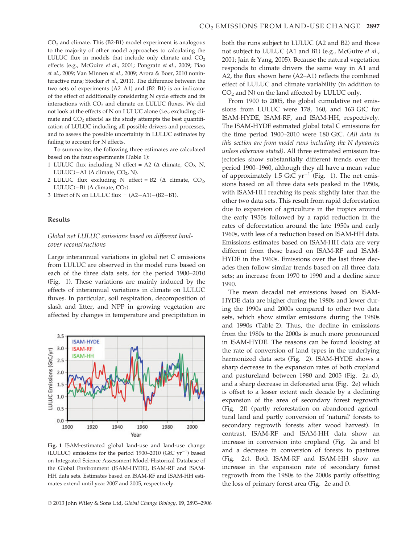$CO<sub>2</sub>$  and climate. This (B2-B1) model experiment is analogous to the majority of other model approaches to calculating the LULUC flux in models that include only climate and  $CO<sub>2</sub>$ effects (e.g., McGuire et al., 2001; Pongratz et al., 2009; Piao et al., 2009; Van Minnen et al., 2009; Arora & Boer, 2010 noninteractive runs; Stocker et al., 2011). The difference between the two sets of experiments (A2–A1) and (B2–B1) is an indicator of the effect of additionally considering N cycle effects and its interactions with  $CO<sub>2</sub>$  and climate on LULUC fluxes. We did not look at the effects of N on LULUC alone (i.e., excluding climate and  $CO<sub>2</sub>$  effects) as the study attempts the best quantification of LULUC including all possible drivers and processes, and to assess the possible uncertainty in LULUC estimates by failing to account for N effects.

To summarize, the following three estimates are calculated based on the four experiments (Table 1):

- 1 LULUC flux including N effect = A2 ( $\Delta$  climate, CO<sub>2</sub>, N, LULUC) $-A1$  ( $\Delta$  climate, CO<sub>2</sub>, N).
- 2 LULUC flux excluding N effect = B2 ( $\Delta$  climate, CO<sub>2</sub>, LULUC)-B1 ( $\Delta$  climate, CO<sub>2</sub>).
- 3 Effect of N on LULUC flux =  $(A2-A1)$ – $(B2-B1)$ .

#### Results

### Global net LULUC emissions based on different landcover reconstructions

Large interannual variations in global net C emissions from LULUC are observed in the model runs based on each of the three data sets, for the period 1900–2010 (Fig. 1). These variations are mainly induced by the effects of interannual variations in climate on LULUC fluxes. In particular, soil respiration, decomposition of slash and litter, and NPP in growing vegetation are affected by changes in temperature and precipitation in



Fig. 1 ISAM-estimated global land-use and land-use change (LULUC) emissions for the period  $1900-2010$  (GtC  $yr^{-1}$ ) based on Integrated Science Assessment Model-Historical Database of the Global Environment (ISAM-HYDE), ISAM-RF and ISAM-HH data sets. Estimates based on ISAM-RF and ISAM-HH estimates extend until year 2007 and 2005, respectively.

both the runs subject to LULUC (A2 and B2) and those not subject to LULUC (A1 and B1) (e.g., McGuire et al., 2001; Jain & Yang, 2005). Because the natural vegetation responds to climate drivers the same way in A1 and A2, the flux shown here (A2–A1) reflects the combined effect of LULUC and climate variability (in addition to  $CO<sub>2</sub>$  and N) on the land affected by LULUC only.

From 1900 to 2005, the global cumulative net emissions from LULUC were 178, 160, and 163 GtC for ISAM-HYDE, ISAM-RF, and ISAM-HH, respectively. The ISAM-HYDE estimated global total C emissions for the time period 1900–2010 were 180 GtC. (All data in this section are from model runs including the N dynamics unless otherwise stated). All three estimated emission trajectories show substantially different trends over the period 1900–1960, although they all have a mean value of approximately 1.5 GtC  $yr^{-1}$  (Fig. 1). The net emissions based on all three data sets peaked in the 1950s, with ISAM-HH reaching its peak slightly later than the other two data sets. This result from rapid deforestation due to expansion of agriculture in the tropics around the early 1950s followed by a rapid reduction in the rates of deforestation around the late 1950s and early 1960s, with less of a reduction based on ISAM-HH data. Emissions estimates based on ISAM-HH data are very different from those based on ISAM-RF and ISAM-HYDE in the 1960s. Emissions over the last three decades then follow similar trends based on all three data sets; an increase from 1970 to 1990 and a decline since 1990.

The mean decadal net emissions based on ISAM-HYDE data are higher during the 1980s and lower during the 1990s and 2000s compared to other two data sets, which show similar emissions during the 1980s and 1990s (Table 2). Thus, the decline in emissions from the 1980s to the 2000s is much more pronounced in ISAM-HYDE. The reasons can be found looking at the rate of conversion of land types in the underlying harmonized data sets (Fig. 2). ISAM-HYDE shows a sharp decrease in the expansion rates of both cropland and pastureland between 1980 and 2005 (Fig. 2a–d), and a sharp decrease in deforested area (Fig. 2e) which is offset to a lesser extent each decade by a declining expansion of the area of secondary forest regrowth (Fig. 2f) (partly reforestation on abandoned agricultural land and partly conversion of 'natural' forests to secondary regrowth forests after wood harvest). In contrast, ISAM-RF and ISAM-HH data show an increase in conversion into cropland (Fig. 2a and b) and a decrease in conversion of forests to pastures (Fig. 2c). Both ISAM-RF and ISAM-HH show an increase in the expansion rate of secondary forest regrowth from the 1980s to the 2000s partly offsetting the loss of primary forest area (Fig. 2e and f).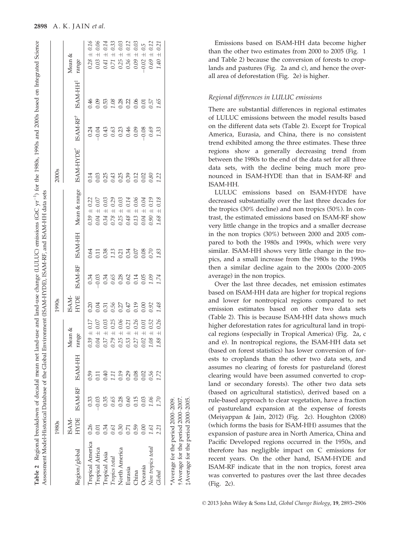|                         | 1980s         |         |                 |                 | 1990s                        |                                                                              |      |                        | 2000s     |                                    |                                      |                                                                   |
|-------------------------|---------------|---------|-----------------|-----------------|------------------------------|------------------------------------------------------------------------------|------|------------------------|-----------|------------------------------------|--------------------------------------|-------------------------------------------------------------------|
| Region/global           | HYDE<br>ISAM- |         | ISAM-RF ISAM-HH | Mean &<br>range | <b>HYDE</b><br>ISAM-         | <b>ISAM-RF</b>                                                               |      | ISAM-HH Mean & range   | ISAM-HYDE | ISAM-RFT                           | ISAM-HH <sup>#</sup>                 | Mean &<br>range                                                   |
| <b>Tropical America</b> | 0.26          | 0.33    | 0.59            | $0.39 \pm 0.17$ | 0.20                         | 0.34                                                                         | 0.64 | $\pm 0.22$<br>$0.39$ : | 0.14      |                                    | 0.46                                 | $0.28 \pm 0.16$                                                   |
| <b>Tropical Africa</b>  |               | $-0.03$ |                 | $0.04 \pm 0.07$ | 0.04                         | $-0.03$                                                                      |      | $\pm 0.07$<br>0.04     |           | $0.9999999990$<br>$0.999999999999$ |                                      | $0.03 \pm 0.06$                                                   |
| Tropical Asia           | 0.34          | 0.35    | ).40            | $0.37 \pm 0.03$ | 0.31                         |                                                                              |      | $\pm$ 0.03<br>0.34     |           |                                    |                                      | $0.41 \pm 0.14$                                                   |
| Tropics total           | 0.61          | 0.65    | L I             | $0.79 \pm 0.25$ |                              |                                                                              |      | $\pm 0.29$<br>0.78     |           |                                    |                                      | $0.71 \pm 0.33$                                                   |
| North America           | 0.30          | 0.28    | 0.19            | $0.25 \pm 0.06$ |                              |                                                                              |      | $\pm$ 0.03<br>0.25     |           |                                    |                                      |                                                                   |
| Eurasia                 | 0.71          | 0.60    | 0.29            | $0.53 \pm 0.21$ | 0.56<br>0.27<br>0.19<br>0.19 | $\begin{array}{c} 34 \\ 0.65 \\ 0.28 \\ 0.01 \\ 0.01 \\ 0.01 \\ \end{array}$ |      | $\pm$ 0.14<br>0.48     |           |                                    | 0.05<br>0.53<br>0.28<br>0.05<br>0.05 | $\begin{array}{c} 0.25\,\pm\,0.03 \\ 0.36\,\pm\,0.12 \end{array}$ |
| China                   | 0.59          | 0.15    | 0.08            | $0.27 \pm 0.26$ |                              |                                                                              |      | $+ 0.06$<br>0.13       |           |                                    |                                      | $0.09 \pm 0.03$                                                   |
| Oceania                 | 0.00          | 0.03    | 0.02            | $0.02 \pm 0.01$ | 0.00                         |                                                                              |      | $0.04 \pm 0.04$        |           |                                    |                                      | $-0.02 + 0.5$                                                     |
| Non tropics total       | 1.61          |         | 0.56            | $1.08 \pm 0.52$ | 0.92                         | 1.74                                                                         |      | $0.90 \pm 0.19$        | 0.80      | 0.69                               | 0.57                                 | $0.69 \pm 0.12$                                                   |
| Global                  | 2.21          |         |                 | $.88 \pm 0.26$  | 1.48                         |                                                                              | 1.83 | $\pm 0.18$<br>1.68.    | 1.22      | 1.33                               | 1.65                                 | $\pm$ 0.21<br>$1.40$ .                                            |

†Average for the period 2000–2007. ‡Average for the period 2000–2005.

†Average for the period 2000–2007.<br>‡Average for the period 2000–2005.

Table 2 Regional breakdown of decadal mean net land-use and land-use change (LULUC) emissions (GtC  $\text{yr}^{-1}$ ) for the 1980s, 1990s and 2000s based on Integrated Science

Regional breakdown of decadal mean net land-use and land-use change (LULUC) emissions (GtC yr<sup>-1</sup>) for the 1980s, 1990s and 2000s based on Integrated Science

Emissions based on ISAM-HH data become higher than the other two estimates from 2000 to 2005 (Fig. 1 and Table 2) because the conversion of forests to croplands and pastures (Fig. 2a and c), and hence the overall area of deforestation (Fig. 2e) is higher.

#### Regional differences in LULUC emissions

There are substantial differences in regional estimates of LULUC emissions between the model results based on the different data sets (Table 2). Except for Tropical America, Eurasia, and China, there is no consistent trend exhibited among the three estimates. These three regions show a generally decreasing trend from between the 1980s to the end of the data set for all three data sets, with the decline being much more pronounced in ISAM-HYDE than that in ISAM-RF and ISAM-HH.

LULUC emissions based on ISAM-HYDE have decreased substantially over the last three decades for the tropics (30% decline) and non tropics (50%). In contrast, the estimated emissions based on ISAM-RF show very little change in the tropics and a smaller decrease in the non tropics (30%) between 2000 and 2005 compared to both the 1980s and 1990s, which were very similar. ISAM-HH shows very little change in the tropics, and a small increase from the 1980s to the 1990s then a similar decline again to the 2000s (2000–2005 average) in the non tropics.

Over the last three decades, net emission estimates based on ISAM-HH data are higher for tropical regions and lower for nontropical regions compared to net emission estimates based on other two data sets (Table 2). This is because ISAM-HH data shows much higher deforestation rates for agricultural land in tropical regions (especially in Tropical America) (Fig. 2a, c and e). In nontropical regions, the ISAM-HH data set (based on forest statistics) has lower conversion of forests to croplands than the other two data sets, and assumes no clearing of forests for pastureland (forest clearing would have been assumed converted to cropland or secondary forests). The other two data sets (based on agricultural statistics), derived based on a rule-based approach to clear vegetation, have a fraction of pastureland expansion at the expense of forests (Meiyappan & Jain, 2012) (Fig. 2c). Houghton (2008) (which forms the basis for ISAM-HH) assumes that the expansion of pasture area in North America, China and Pacific Developed regions occurred in the 1950s, and therefore has negligible impact on C emissions for recent years. On the other hand, ISAM-HYDE and ISAM-RF indicate that in the non tropics, forest area was converted to pastures over the last three decades (Fig. 2c).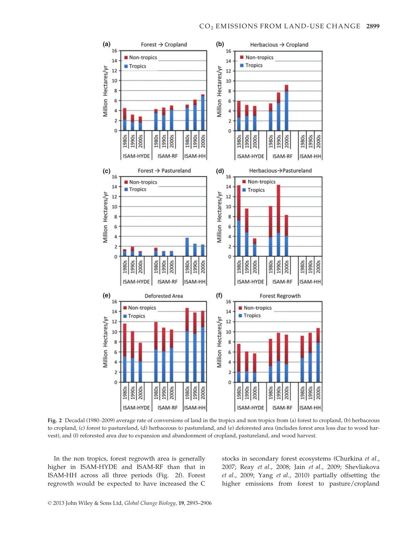

Fig. 2 Decadal (1980–2009) average rate of conversions of land in the tropics and non tropics from (a) forest to cropland, (b) herbaceous to cropland, (c) forest to pastureland, (d) herbaceous to pastureland, and (e) deforested area (includes forest area loss due to wood harvest), and (f) reforested area due to expansion and abandonment of cropland, pastureland, and wood harvest.

In the non tropics, forest regrowth area is generally higher in ISAM-HYDE and ISAM-RF than that in ISAM-HH across all three periods (Fig. 2f). Forest regrowth would be expected to have increased the C

stocks in secondary forest ecosystems (Churkina et al., 2007; Reay et al., 2008; Jain et al., 2009; Shevliakova et al., 2009; Yang et al., 2010) partially offsetting the higher emissions from forest to pasture/cropland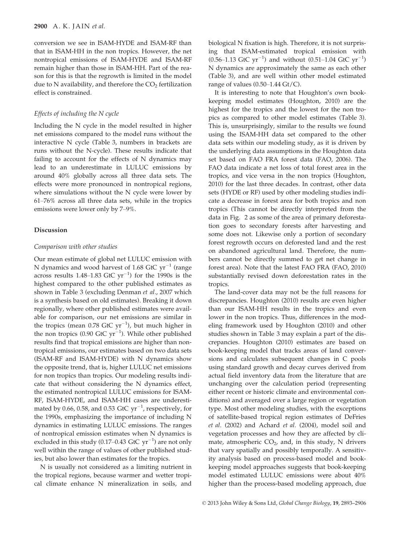conversion we see in ISAM-HYDE and ISAM-RF than that in ISAM-HH in the non tropics. However, the net nontropical emissions of ISAM-HYDE and ISAM-RF remain higher than those in ISAM-HH. Part of the reason for this is that the regrowth is limited in the model due to N availability, and therefore the  $CO<sub>2</sub>$  fertilization effect is constrained.

#### Effects of including the N cycle

Including the N cycle in the model resulted in higher net emissions compared to the model runs without the interactive N cycle (Table 3, numbers in brackets are runs without the N-cycle). These results indicate that failing to account for the effects of N dynamics may lead to an underestimate in LULUC emissions by around 40% globally across all three data sets. The effects were more pronounced in nontropical regions, where simulations without the N cycle were lower by 61–76% across all three data sets, while in the tropics emissions were lower only by 7–9%.

#### Discussion

#### Comparison with other studies

Our mean estimate of global net LULUC emission with N dynamics and wood harvest of 1.68 GtC  $yr^{-1}$  (range across results 1.48–1.83 GtC  $\rm{yr}^{-1}$ ) for the 1990s is the highest compared to the other published estimates as shown in Table 3 (excluding Denman et al., 2007 which is a synthesis based on old estimates). Breaking it down regionally, where other published estimates were available for comparison, our net emissions are similar in the tropics (mean  $0.78$  GtC  $yr^{-1}$ ), but much higher in the non tropics (0.90 GtC  $yr^{-1}$ ). While other published results find that tropical emissions are higher than nontropical emissions, our estimates based on two data sets (ISAM-RF and ISAM-HYDE) with N dynamics show the opposite trend, that is, higher LULUC net emissions for non tropics than tropics. Our modeling results indicate that without considering the N dynamics effect, the estimated nontropical LULUC emissions for ISAM-RF, ISAM-HYDE, and ISAM-HH cases are underestimated by 0.66, 0.58, and 0.53 GtC  $\text{yr}^{-1}$ , respectively, for the 1990s, emphasizing the importance of including N dynamics in estimating LULUC emissions. The ranges of nontropical emission estimates when N dynamics is excluded in this study (0.17–0.43 GtC  $yr^{-1}$ ) are not only well within the range of values of other published studies, but also lower than estimates for the tropics.

N is usually not considered as a limiting nutrient in the tropical regions, because warmer and wetter tropical climate enhance N mineralization in soils, and biological N fixation is high. Therefore, it is not surprising that ISAM-estimated tropical emission with  $(0.56-1.13 \text{ GtC yr}^{-1})$  and without  $(0.51-1.04 \text{ GtC yr}^{-1})$ N dynamics are approximately the same as each other (Table 3), and are well within other model estimated range of values  $(0.50-1.44 \text{ Gt/C}).$ 

It is interesting to note that Houghton's own bookkeeping model estimates (Houghton, 2010) are the highest for the tropics and the lowest for the non tropics as compared to other model estimates (Table 3). This is, unsurprisingly, similar to the results we found using the ISAM-HH data set compared to the other data sets within our modeling study, as it is driven by the underlying data assumptions in the Houghton data set based on FAO FRA forest data (FAO, 2006). The FAO data indicate a net loss of total forest area in the tropics, and vice versa in the non tropics (Houghton, 2010) for the last three decades. In contrast, other data sets (HYDE or RF) used by other modeling studies indicate a decrease in forest area for both tropics and non tropics (This cannot be directly interpreted from the data in Fig. 2 as some of the area of primary deforestation goes to secondary forests after harvesting and some does not. Likewise only a portion of secondary forest regrowth occurs on deforested land and the rest on abandoned agricultural land. Therefore, the numbers cannot be directly summed to get net change in forest area). Note that the latest FAO FRA (FAO, 2010) substantially revised down deforestation rates in the tropics.

The land-cover data may not be the full reasons for discrepancies. Houghton (2010) results are even higher than our ISAM-HH results in the tropics and even lower in the non tropics. Thus, differences in the modeling framework used by Houghton (2010) and other studies shown in Table 3 may explain a part of the discrepancies. Houghton (2010) estimates are based on book-keeping model that tracks areas of land conversions and calculates subsequent changes in C pools using standard growth and decay curves derived from actual field inventory data from the literature that are unchanging over the calculation period (representing either recent or historic climate and environmental conditions) and averaged over a large region or vegetation type. Most other modeling studies, with the exceptions of satellite-based tropical region estimates of DeFries et al. (2002) and Achard et al. (2004), model soil and vegetation processes and how they are affected by climate, atmospheric  $CO<sub>2</sub>$ , and, in this study, N drivers that vary spatially and possibly temporally. A sensitivity analysis based on process-based model and bookkeeping model approaches suggests that book-keeping model estimated LULUC emissions were about 40% higher than the process-based modeling approach, due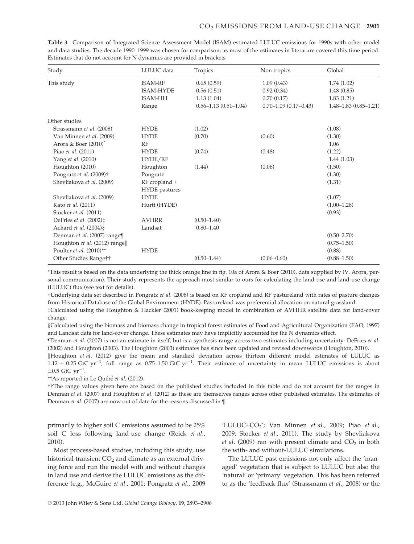| Study                                | LULUC data           | Tropics                    | Non tropics                   | Global                     |
|--------------------------------------|----------------------|----------------------------|-------------------------------|----------------------------|
| This study                           | <b>ISAM-RF</b>       | 0.65(0.59)                 | 1.09(0.43)                    | 1.74(1.02)                 |
|                                      | <b>ISAM-HYDE</b>     | 0.56(0.51)                 | 0.92(0.34)                    | 1.48(0.85)                 |
|                                      | <b>ISAM-HH</b>       | 1.13(1.04)                 | 0.70(0.17)                    | 1.83(1.21)                 |
|                                      | Range                | $0.56 - 1.13(0.51 - 1.04)$ | $0.70 - 1.09$ $(0.17 - 0.43)$ | $1.48 - 1.83(0.85 - 1.21)$ |
| Other studies                        |                      |                            |                               |                            |
| Strassmann et al. (2008)             | <b>HYDE</b>          | (1.02)                     |                               | (1.08)                     |
| Van Minnen et al. (2009)             | <b>HYDE</b>          | (0.70)                     | (0.60)                        | (1.30)                     |
| Arora & Boer $(2010)^*$              | RF                   |                            |                               | 1.06                       |
| Piao et al. (2011)                   | <b>HYDE</b>          | (0.74)                     | (0.48)                        | (1.22)                     |
| Yang et al. (2010)                   | HYDE/RF              |                            |                               | 1.44(1.03)                 |
| Houghton (2010)                      | Houghton             | (1.44)                     | (0.06)                        | (1.50)                     |
| Pongratz et al. (2009)†              | Pongratz             |                            |                               | (1.30)                     |
| Shevliakova et al. (2009)            | RF cropland +        |                            |                               | (1.31)                     |
|                                      | <b>HYDE</b> pastures |                            |                               |                            |
| Shevliakova et al. (2009)            | <b>HYDE</b>          |                            |                               | (1.07)                     |
| Kato et al. (2011)                   | Hurtt (HYDE)         |                            |                               | $(1.00 - 1.28)$            |
| Stocker et al. (2011)                |                      |                            |                               | (0.93)                     |
| DeFries et al. $(2002)$ <sup>+</sup> | <b>AVHRR</b>         | $(0.50 - 1.40)$            |                               |                            |
| Achard et al. (2004) §               | Landsat              | $0.80 - 1.40$              |                               |                            |
| Denman et al. (2007) range¶          |                      |                            |                               | $(0.50 - 2.70)$            |
| Houghton et al. (2012) range         |                      |                            |                               | $(0.75 - 1.50)$            |
| Poulter et al. (2010)**              | <b>HYDE</b>          |                            |                               | (0.88)                     |
| Other Studies Range††                |                      | $(0.50 - 1.44)$            | $(0.06 - 0.60)$               | $(0.88 - 1.50)$            |

Table 3 Comparison of Integrated Science Assessment Model (ISAM) estimated LULUC emissions for 1990s with other model and data studies. The decade 1990–1999 was chosen for comparison, as most of the estimates in literature covered this time period. Estimates that do not account for N dynamics are provided in brackets

\*This result is based on the data underlying the thick orange line in fig. 10a of Arora & Boer (2010), data supplied by (V. Arora, personal communication). Their study represents the approach most similar to ours for calculating the land-use and land-use change (LULUC) flux (see text for details).

†Underlying data set described in Pongratz et al. (2008) is based on RF cropland and RF pastureland with rates of pasture changes from Historical Database of the Global Environment (HYDE). Pastureland was preferential allocation on natural grassland.

‡Calculated using the Houghton & Hackler (2001) book-keeping model in combination of AVHHR satellite data for land-cover change.

§Calculated using the biomass and biomass change in tropical forest estimates of Food and Agricultural Organization (FAO, 1997) and Landsat data for land-cover change. These estimates may have implicitly accounted for the N dynamics effect.

¶Denman et al. (2007) is not an estimate in itself, but is a synthesis range across two estimates including uncertainty: DeFries et al. (2002) and Houghton (2003). The Houghton (2003) estimates has since been updated and revised downwards (Houghton, 2010).

Houghton et al. (2012) give the mean and standard deviation across thirteen different model estimates of LULUC as  $1.12 \pm 0.25$  GtC yr<sup>-1</sup>, full range as 0.75-1.50 GtC yr<sup>-1</sup>. Their estimate of uncertainty in mean LULUC emissions is about  $\pm 0.5$  GtC  $yr^{-1}$ .

\*\*As reported in Le Quéré et al. (2012).

††The range values given here are based on the published studies included in this table and do not account for the ranges in Denman et al. (2007) and Houghton et al. (2012) as these are themselves ranges across other published estimates. The estimates of Denman et al. (2007) are now out of date for the reasons discussed in ¶.

primarily to higher soil C emissions assumed to be 25% soil C loss following land-use change (Reick et al., 2010).

Most process-based studies, including this study, use historical transient  $CO<sub>2</sub>$  and climate as an external driving force and run the model with and without changes in land use and derive the LULUC emissions as the difference (e.g., McGuire et al., 2001; Pongratz et al., 2009

'LULUC+CO<sub>2</sub>'; Van Minnen et al., 2009; Piao et al., 2009; Stocker et al., 2011). The study by Shevliakova *et al.* (2009) ran with present climate and  $CO<sub>2</sub>$  in both the with- and without-LULUC simulations.

The LULUC past emissions not only affect the 'managed' vegetation that is subject to LULUC but also the 'natural' or 'primary' vegetation. This has been referred to as the 'feedback flux' (Strassmann et al., 2008) or the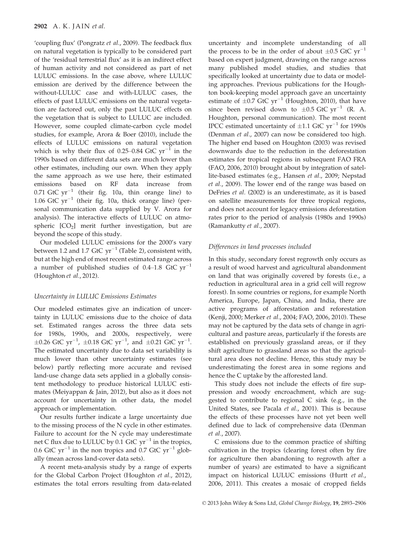'coupling flux' (Pongratz et al., 2009). The feedback flux on natural vegetation is typically to be considered part of the 'residual terrestrial flux' as it is an indirect effect of human activity and not considered as part of net LULUC emissions. In the case above, where LULUC emission are derived by the difference between the without-LULUC case and with-LULUC cases, the effects of past LULUC emissions on the natural vegetation are factored out, only the past LULUC effects on the vegetation that is subject to LULUC are included. However, some coupled climate-carbon cycle model studies, for example, Arora & Boer (2010), include the effects of LULUC emissions on natural vegetation which is why their flux of 0.25–0.84 GtC  $yr^{-1}$  in the 1990s based on different data sets are much lower than other estimates, including our own. When they apply the same approach as we use here, their estimated emissions based on RF data increase from 0.71 GtC  $yr^{-1}$  (their fig. 10a, thin orange line) to 1.06 GtC  $yr^{-1}$  (their fig. 10a, thick orange line) (personal communication data supplied by V. Arora for analysis). The interactive effects of LULUC on atmospheric  $[CO<sub>2</sub>]$  merit further investigation, but are beyond the scope of this study.

Our modeled LULUC emissions for the 2000's vary between 1.2 and 1.7 GtC  $yr^{-1}$  (Table 2), consistent with, but at the high end of most recent estimated range across a number of published studies of 0.4–1.8 GtC  $\text{yr}^{-1}$ (Houghton et al., 2012).

#### Uncertainty in LULUC Emissions Estimates

Our modeled estimates give an indication of uncertainty in LULUC emissions due to the choice of data set. Estimated ranges across the three data sets for 1980s, 1990s, and 2000s, respectively, were  $\pm 0.26$  GtC yr<sup>-1</sup>,  $\pm 0.18$  GtC yr<sup>-1</sup>, and  $\pm 0.21$  GtC yr<sup>-1</sup>. The estimated uncertainty due to data set variability is much lower than other uncertainty estimates (see below) partly reflecting more accurate and revised land-use change data sets applied in a globally consistent methodology to produce historical LULUC estimates (Meiyappan & Jain, 2012), but also as it does not account for uncertainty in other data, the model approach or implementation.

Our results further indicate a large uncertainty due to the missing process of the N cycle in other estimates. Failure to account for the N cycle may underestimate net C flux due to LULUC by 0.1 GtC  $yr^{-1}$  in the tropics, 0.6 GtC  $yr^{-1}$  in the non tropics and 0.7 GtC  $yr^{-1}$  globally (mean across land-cover data sets).

A recent meta-analysis study by a range of experts for the Global Carbon Project (Houghton et al., 2012), estimates the total errors resulting from data-related uncertainty and incomplete understanding of all the process to be in the order of about  $\pm 0.5$  GtC yr<sup>-1</sup> based on expert judgment, drawing on the range across many published model studies, and studies that specifically looked at uncertainty due to data or modeling approaches. Previous publications for the Houghton book-keeping model approach gave an uncertainty estimate of  $\pm 0.7$  GtC yr<sup>-1</sup> (Houghton, 2010), that have since been revised down to  $\pm 0.5$  GtC yr<sup>-1</sup> (R. A. Houghton, personal communication). The most recent IPCC estimated uncertainty of  $\pm 1.1$  GtC yr<sup>-1</sup> for 1990s (Denman et al., 2007) can now be considered too high. The higher end based on Houghton (2003) was revised downwards due to the reduction in the deforestation estimates for tropical regions in subsequent FAO FRA (FAO, 2006, 2010) brought about by integration of satellite-based estimates (e.g., Hansen et al., 2009; Nepstad et al., 2009). The lower end of the range was based on DeFries et al. (2002) is an underestimate, as it is based on satellite measurements for three tropical regions, and does not account for legacy emissions deforestation rates prior to the period of analysis (1980s and 1990s) (Ramankutty et al., 2007).

#### Differences in land processes included

In this study, secondary forest regrowth only occurs as a result of wood harvest and agricultural abandonment on land that was originally covered by forests (i.e., a reduction in agricultural area in a grid cell will regrow forest). In some countries or regions, for example North America, Europe, Japan, China, and India, there are active programs of afforestation and reforestation (Kenji, 2000; Merker et al., 2004; FAO, 2006, 2010). These may not be captured by the data sets of change in agricultural and pasture areas, particularly if the forests are established on previously grassland areas, or if they shift agriculture to grassland areas so that the agricultural area does not decline. Hence, this study may be underestimating the forest area in some regions and hence the C uptake by the afforested land.

This study does not include the effects of fire suppression and woody encroachment, which are suggested to contribute to regional C sink (e.g., in the United States, see Pacala et al., 2001). This is because the effects of these processes have not yet been well defined due to lack of comprehensive data (Denman et al., 2007).

C emissions due to the common practice of shifting cultivation in the tropics (clearing forest often by fire for agriculture then abandoning to regrowth after a number of years) are estimated to have a significant impact on historical LULUC emissions (Hurtt et al., 2006, 2011). This creates a mosaic of cropped fields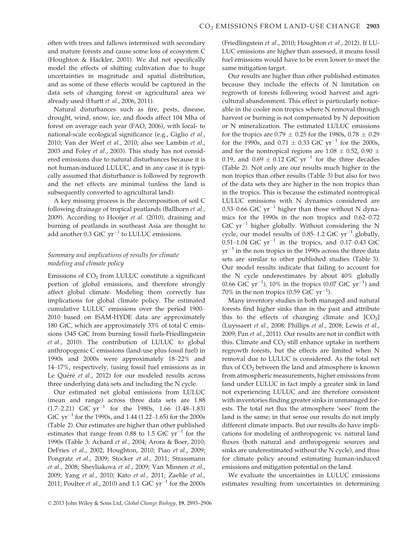often with trees and fallows intermixed with secondary and mature forests and cause some loss of ecosystem C (Houghton & Hackler, 2001). We did not specifically model the effects of shifting cultivation due to huge uncertainties in magnitude and spatial distribution, and as some of these effects would be captured in the data sets of changing forest or agricultural area we already used (Hurtt et al., 2006, 2011).

Natural disturbances such as fire, pests, disease, drought, wind, snow, ice, and floods affect 104 Mha of forest on average each year (FAO, 2006), with local- to national-scale ecological significance (e.g., Giglio et al., 2010; Van der Werf et al., 2010; also see Lambin et al., 2003 and Foley et al., 2003). This study has not considered emissions due to natural disturbances because it is not human-induced LULUC, and in any case it is typically assumed that disturbance is followed by regrowth and the net effects are minimal (unless the land is subsequently converted to agricultural land).

A key missing process is the decomposition of soil C following drainage of tropical peatlands (Ballhorn et al., 2009). According to Hooijer et al. (2010), draining and burning of peatlands in southeast Asia are thought to add another 0.3 GtC  $yr^{-1}$  to LULUC emissions.

## Summary and implications of results for climate modeling and climate policy

Emissions of  $CO<sub>2</sub>$  from LULUC constitute a significant portion of global emissions, and therefore strongly affect global climate. Modeling them correctly has implications for global climate policy. The estimated cumulative LULUC emissions over the period 1900– 2010 based on ISAM-HYDE data are approximately 180 GtC, which are approximately 33% of total C emissions (345 GtC from burning fossil fuels-Friedlingstein et al., 2010). The contribution of LULUC to global anthropogenic C emissions (land-use plus fossil fuel) in 1990s and 2000s were approximately 18–22% and 14–17%, respectively, (using fossil fuel emissions as in Le Quéré et al., 2012) for our modeled results across three underlying data sets and including the N cycle.

Our estimated net global emissions from LULUC (mean and range) across three data sets are 1.88  $(1.7-2.21)$  GtC yr<sup>-1</sup> for the 1980s, 1.66  $(1.48-1.83)$ GtC  $yr^{-1}$  for the 1990s, and 1.44 (1.22–1.65) for the 2000s (Table 2). Our estimates are higher than other published estimates that range from 0.88 to 1.5 GtC  $yr^{-1}$  for the 1990s (Table 3: Achard et al., 2004; Arora & Boer, 2010; DeFries et al., 2002; Houghton, 2010; Piao et al., 2009; Pongratz et al., 2009; Stocker et al., 2011; Strassmann et al., 2008; Shevliakova et al., 2009; Van Minnen et al., 2009; Yang et al., 2010; Kato et al., 2011; Zaehle et al., 2011; Poulter et al., 2010) and 1.1 GtC  $yr^{-1}$  for the 2000s (Friedlingstein et al., 2010; Houghton et al., 2012). If LU-LUC emissions are higher than assessed, it means fossil fuel emissions would have to be even lower to meet the same mitigation target.

Our results are higher than other published estimates because they include the effects of N limitation on regrowth of forests following wood harvest and agricultural abandonment. This effect is particularly noticeable in the cooler non tropics where N removal through harvest or burning is not compensated by N deposition or N mineralization. The estimated LULUC emissions for the tropics are  $0.79 \pm 0.25$  for the 1980s,  $0.78 \pm 0.29$ for the 1990s, and  $0.71 \pm 0.33$  GtC yr<sup>-1</sup> for the 2000s, and for the nontropical regions are  $1.08 \pm 0.52$ ,  $0.90 \pm 0.52$ 0.19, and  $0.69 \pm 0.12$  GtC yr<sup>-1</sup> for the three decades (Table 2). Not only are our results much higher in the non tropics than other results (Table 3) but also for two of the data sets they are higher in the non tropics than in the tropics. This is because the estimated nontropical LULUC emissions with N dynamics considered are 0.53–0.66 GtC  $yr^{-1}$  higher than those without N dynamics for the 1990s in the non tropics and 0.62–0.72 GtC  $yr^{-1}$  higher globally. Without considering the N cycle, our model results of 0.85–1.2 GtC  $yr^{-1}$  globally, 0.51–1.04 GtC  $yr^{-1}$  in the tropics, and 0.17–0.43 GtC  $yr^{-1}$  in the non tropics in the 1990s across the three data sets are similar to other published studies (Table 3). Our model results indicate that failing to account for the N cycle underestimates by about 40% globally  $(0.66 \text{ GtC yr}^{-1})$ , 10% in the tropics  $(0.07 \text{ GtC yr}^{-1})$  and  $70\%$  in the non tropics (0.59 GtC  $\rm{yr}^{-1}$ ).

Many inventory studies in both managed and natural forests find higher sinks than in the past and attribute this to the effects of changing climate and  $[CO<sub>2</sub>]$ (Luyssaert et al., 2008; Phillips et al., 2008; Lewis et al., 2009; Pan et al., 2011). Our results are not in conflict with this. Climate and  $CO<sub>2</sub>$  still enhance uptake in northern regrowth forests, but the effects are limited when N removal due to LULUC is considered. As the total net flux of  $CO<sub>2</sub>$  between the land and atmosphere is known from atmospheric measurements, higher emissions from land under LULUC in fact imply a greater sink in land not experiencing LULUC and are therefore consistent with inventories finding greater sinks in unmanaged forests. The total net flux the atmosphere 'sees' from the land is the same; in that sense our results do not imply different climate impacts. But our results do have implications for modeling of anthropogenic vs. natural land fluxes (both natural and anthropogenic sources and sinks are underestimated without the N cycle), and thus for climate policy around estimating human-induced emissions and mitigation potential on the land.

We evaluate the uncertainties in LULUC emissions estimates resulting from uncertainties in determining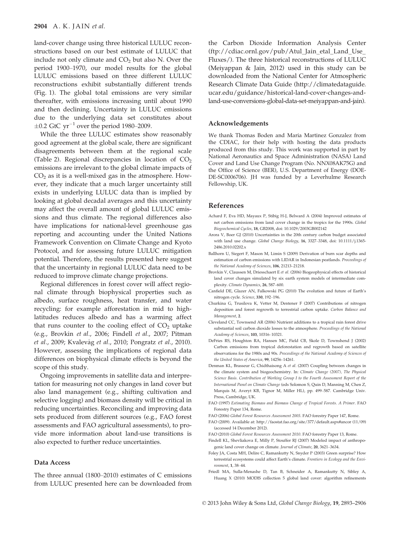land-cover change using three historical LULUC reconstructions based on our best estimate of LULUC that include not only climate and  $CO<sub>2</sub>$  but also N. Over the period 1900–1970, our model results for the global LULUC emissions based on three different LULUC reconstructions exhibit substantially different trends (Fig. 1). The global total emissions are very similar thereafter, with emissions increasing until about 1990 and then declining. Uncertainty in LULUC emissions due to the underlying data set constitutes about  $\pm 0.2$  GtC yr<sup>-1</sup> over the period 1980–2009.

While the three LULUC estimates show reasonably good agreement at the global scale, there are significant disagreements between them at the regional scale (Table 2). Regional discrepancies in location of  $CO<sub>2</sub>$ emissions are irrelevant to the global climate impacts of  $CO<sub>2</sub>$  as it is a well-mixed gas in the atmosphere. However, they indicate that a much larger uncertainty still exists in underlying LULUC data than is implied by looking at global decadal averages and this uncertainty may affect the overall amount of global LULUC emissions and thus climate. The regional differences also have implications for national-level greenhouse gas reporting and accounting under the United Nations Framework Convention on Climate Change and Kyoto Protocol, and for assessing future LULUC mitigation potential. Therefore, the results presented here suggest that the uncertainty in regional LULUC data need to be reduced to improve climate change projections.

Regional differences in forest cover will affect regional climate through biophysical properties such as albedo, surface roughness, heat transfer, and water recycling: for example afforestation in mid to highlatitudes reduces albedo and has a warming affect that runs counter to the cooling effect of  $CO<sub>2</sub>$  uptake (e.g., Brovkin et al., 2006; Findell et al., 2007; Pitman et al., 2009; Kvalevåg et al., 2010; Pongratz et al., 2010). However, assessing the implications of regional data differences on biophysical climate effects is beyond the scope of this study.

Ongoing improvements in satellite data and interpretation for measuring not only changes in land cover but also land management (e.g., shifting cultivation and selective logging) and biomass density will be critical in reducing uncertainties. Reconciling and improving data sets produced from different sources (e.g., FAO forest assessments and FAO agricultural assessments), to provide more information about land-use transitions is also expected to further reduce uncertainties.

#### Data Access

The three annual (1800–2010) estimates of C emissions from LULUC presented here can be downloaded from the Carbon Dioxide Information Analysis Center (ftp://cdiac.ornl.gov/pub/Atul\_Jain\_etal\_Land\_Use\_ Fluxes/). The three historical reconstructions of LULUC (Meiyappan & Jain, 2012) used in this study can be downloaded from the National Center for Atmospheric Research Climate Data Guide (http://climatedataguide. ucar.edu/guidance/historical-land-cover-changes-andland-use-conversions-global-data-set-meiyappan-and-jain).

#### Acknowledgements

We thank Thomas Boden and Maria Martinez Gonzalez from the CDIAC, for their help with hosting the data products produced from this study. This work was supported in part by National Aeronautics and Space Administration (NASA) Land Cover and Land Use Change Program (No. NNX08AK75G) and the Office of Science (BER), U.S. Department of Energy (DOE-DE-SC0006706). JH was funded by a Leverhulme Research Fellowship, UK.

#### References

- Achard F, Eva HD, Mayaux P, Stibig H-J, Belward A (2004) Improved estimates of net carbon emissions from land cover change in the tropics for the 1990s. Global Biogeochemical Cycles, 18, GB2008, doi: 10.1029/2003GB002142
- Arora V, Boer GJ (2010) Uncertainties in the 20th century carbon budget associated with land use change. Global Change Biology, 16, 3327-3348, doi: 10.1111/j.1365-2486.2010.02202.x
- Ballhorn U, Siegert F, Mason M, Limin S (2009) Derivation of burn scar depths and estimation of carbon emissions with LIDAR in Indonesian peatlands. Proceedings of the National Academy of Sciences, 106, 21213–21218.
- Brovkin V, Claussen M, Driesschaert E et al. (2006) Biogeophysical effects of historical land cover changes simulated by six earth system models of intermediate complexity. Climate Dynamics, 26, 587–600.
- Canfield DE, Glazer AN, Falkowski PG (2010) The evolution and future of Earth's nitrogen cycle. Science, 330, 192–196.
- Churkina G, Trusilova K, Vetter M, Dentener F (2007) Contributions of nitrogen deposition and forest regrowth to terrestrial carbon uptake. Carbon Balance and Management, 2.
- Cleveland CC, Townsend AR (2006) Nutrient additions to a tropical rain forest drive substantial soil carbon dioxide losses to the atmosphere. Proceedings of the National Academy of Sciences, 103, 10316–10321.
- DeFries RS, Houghton RA, Hansen MC, Field CB, Skole D, Townshend J (2002) Carbon emissions from tropical deforestation and regrowth based on satellite observations for the 1980s and 90s. Proceedings of the National Academy of Sciences of the United States of America, 99, 14256–14261.
- Denman KL, Brasseur G, Chidthaisong A et al. (2007) Coupling between changes in the climate system and biogeochemistry. In: Climate Change (2007), The Physical Science Basis. Contribution of Working Group I to the Fourth Assessment Report of the International Panel on Climate Change (eds Solomon S, Quin D, Manning M, Chen Z, Marquis M, Averyt KB, Tignor M, Miller HL), pp. 499–587. Cambridge Univ. Press, Cambridge, UK.
- FAO (1997) Estimating Biomass and Biomass Change of Tropical Forests. A Primer. FAO Forestry Paper 134, Rome.
- FAO (2006) Global Forest Resources Assessment 2005. FAO forestry Paper 147, Rome.
- FAO (2009). Available at: http://faostat.fao.org/site/377/default.aspx#ancor (11/09) (accessed 14 December 2012).
- FAO (2010) Global Forest Resources Assessment 2010. FAO forestry Paper 13, Rome.
- Findell KL, Shevliakova E, Milly P, Stouffer RJ (2007) Modeled impact of anthropogenic land cover change on climate. Journal of Climate, 20, 3621–3634.
- Foley JA, Costa MH, Delire C, Ramankutty N, Snyder P (2003) Green surprise? How terrestrial ecosystems could affect Earth's climate. Frontiers in Ecology and the Environment, 1, 38–44.
- Friedl MA, Sulla-Menashe D, Tan B, Schneider A, Ramankutty N, Sibley A, Huang X (2010) MODIS collection 5 global land cover: algorithm refinements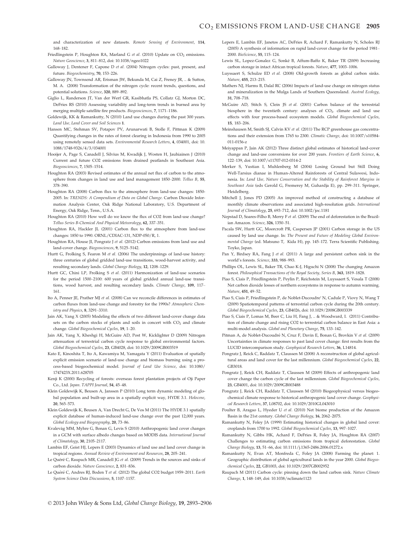and characterization of new datasets. Remote Sensing of Environment, 114, 168–182.

- Friedlingstein P, Houghton RA, Marland G et al. (2010) Update on CO<sub>2</sub> emissions. Nature Geoscience, 3, 811–812, doi: 10.1038/ngeo1022
- Galloway J, Dentener F, Capone D et al. (2004) Nitrogen cycles: past, present, and future. Biogeochemistry, 70, 153–226.
- Galloway JN, Townsend AR, Erisman JW, Bekunda M, Cai Z, Freney JR, .. & Sutton, M. A. (2008) Transformation of the nitrogen cycle: recent trends, questions, and potential solutions. Science, 320, 889–892.
- Giglio L, Randerson JT, Van der Werf GR, Kasibhatla PS, Collatz GJ, Morton DC, DeFries RS (2010) Assessing variability and long-term trends in burned area by merging multiple satellite fire products. Biogeosciences, 7, 1171–1186.
- Goldewijk, KK & Ramankutty, N (2010) Land use changes during the past 300 years. Land Use, Land Cover and Soil Sciences 1.
- Hansen MC, Stehman SV, Potapov PV, Arunarwati B, Stolle F, Pittman K (2009) Quantifying changes in the rates of forest clearing in Indonesia from 1990 to 2005 using remotely sensed data sets. Environmental Research Letters, 4, 034001, doi: 10. 1088/1748-9326/4/3/034001
- Hooijer A, Page S, Canadell J, Silvius M, Kwadijk J, Wosten H, Jauhiainen J (2010) Current and future CO2 emissions from drained peatlands in Southeast Asia. Biogeosciences, 7, 1505–1514.
- Houghton RA (2003) Revised estimates of the annual net flux of carbon to the atmosphere from changes in land use and land management 1850–2000. Tellus B, 55, 378–390.
- Houghton RA (2008) Carbon flux to the atmosphere from land-use changes: 1850- 2005. In: TRENDS: A Compendium of Data on Global Change. Carbon Dioxide Information Analysis Center, Oak Ridge National Laboratory, U.S. Department of Energy, Oak Ridge, Tenn., U.S.A.
- Houghton RA (2010) How well do we know the flux of CO2 from land-use change? Tellus Series B-Chemical And Physical Meteorology, 62, 337–351.
- Houghton RA, Hackler JL (2001) Carbon flux to the atmosphere from land-use changes: 1850 to 1990. ORNL/CDIAC-131, NDP-050/R, 1.
- Houghton RA, House II, Pongratz J et al. (2012) Carbon emissions from land use and land-cover change. Biogeosciences, 9, 5125–5142.
- Hurtt G, Frolking S, Fearon M et al. (2006) The underpinnings of land-use history: three centuries of global gridded land-use transitions, wood-harvest activity, and resulting secondary lands. Global Change Biology, 12, 1208–1229.
- Hurtt GC, Chini LP, Frolking S et al. (2011) Harmonization of land-use scenarios for the period 1500–2100: 600 years of global gridded annual land-use transitions, wood harvest, and resulting secondary lands. Climate Change, 109, 117-161.
- Ito A, Penner JE, Prather MJ et al. (2008) Can we reconcile differences in estimates of carbon fluxes from land-use change and forestry for the 1990s? Atmospheric Chemistry and Physics, 8, 3291–3310.
- Jain AK, Yang X (2005) Modeling the effects of two different land-cover change data sets on the carbon stocks of plants and soils in concert with  $CO<sub>2</sub>$  and climate change. Global Biogeochemical Cycles, 19, 1–20.
- Jain AK, Yang X, Kheshgi H, McGuire AD, Post W, Kicklighter D (2009) Nitrogen attenuation of terrestrial carbon cycle response to global environmental factors. Global Biogeochemical Cycles, 23, GB4028, doi: 10.1029/2009GB003519
- Kato E, Kinoshita T, Ito A, Kawamiya M, Yamagata Y (2011) Evaluation of spatially explicit emission scenario of land-use change and biomass burning using a process-based biogeochemical model. Journal of Land Use Science, doi: 10.1080/ 1747423X.2011.628705
- Kenji K (2000) Recycling of forests: overseas forest plantation projects of Oji Paper Co., Ltd. Japan. TAPPI Journal, 54, 45–48.
- Klein Goldewijk K, Beusen A, Janssen P (2010) Long term dynamic modeling of global population and built-up area in a spatially explicit way, HYDE 3.1. Holocene, 20, 565–573.
- Klein Goldewijk K, Beusen A, Van Drecht G, De Vos M (2011) The HYDE 3.1 spatially explicit database of human-induced land-use change over the past 12,000 years. Global Ecology and Biogeography, 20, 73–86.
- Kvalevag MM, Myhre G, Bonan G, Levis S (2010) Anthropogenic land cover changes in a GCM with surface albedo changes based on MODIS data. International Journal of Climatology, 30, 2105–2117.
- Lambin EF, Geist HJ, Lepers E (2003) Dynamics of land use and land cover change in tropical regions. Annual Review of Environment and Resources, 28, 205–241.
- Le Quéré C, Raupach MR, Canadell JG et al. (2009) Trends in the sources and sinks of carbon dioxide. Nature Geoscience, 2, 831–836.
- Le Quéré C, Andres RJ, Boden T et al. (2012) The global CO2 budget 1959-2011. Earth System Science Data Discussions, 5, 1107–1157.
- Lepers E, Lambin EF, Janetos AC, DeFries R, Achard F, Ramankutty N, Scholes RJ (2005) A synthesis of information on rapid land-cover change for the period 1981– 2000. BioScience, 55, 115–124.
- Lewis SL, Lopez-Gonalez G, Sonke B, Affum-Baffo K, Baker TR (2009) Increasing carbon storage in intact African tropical forests. Nature, 477, 1003–1006.
- Luyssaert S, Schulze ED et al. (2008) Old-growth forests as global carbon sinks. Nature, 455, 213–215.
- Mathers NJ, Harms B, Dalal RC (2006) Impacts of land-use change on nitrogen status and mineralization in the Mulga Lands of Southern Queensland. Austral Ecology, 31, 708–718.
- McGuire AD, Stitch S, Clein JS et al. (2001) Carbon balance of the terrestrial biosphere in the twentieth century: analyses of  $CO<sub>2</sub>$ . climate and land use effects with four process-based ecosystem models. Global Biogeochemical Cycles, 15, 183–206.
- Meinshausen M, Smith SJ, Calvin KV et al. (2011) The RCP greenhouse gas concentrations and their extension from 1765 to 2300. Climatic Change, doi: 10.1007/s10584- 011-0156-z
- Meiyappan P, Jain AK (2012) Three distinct global estimates of historical land-cover change and land-use conversions for over 200 years. Frontiers of Earth Science, 6, 122–139, doi: 10.1007/s11707-012-0314-2
- Merker S, Yustian I, Muhlenberg M (2004) Losing Ground but Still Doing Well-Tarsius dianae in Human-Altered Rainforests of Central Sulawesi, Indonesia. In: Land Use, Nature Conservation and the Stability of Rainforest Margins in Southeast Asia (eds Gerold G, Fremerey M, Guhardja E), pp. 299–311. Springer, Heidelberg.
- Mitchell J, Jones PD (2005) An improved method of constructing a database of monthly climate observations and associated high-resolution grids. International Journal of Climatology, 25, 693–712, doi: 10.1002/joc.1181
- Nepstad D, Soares-Filho B, Merry F et al. (2009) The end of deforestation in the Brazilian Amazon. Science, 326, 1350–51.
- Pacala SW, Hurtt GC, Moorcroft PR, Caspersen JP (2001) Carbon storage in the US caused by land use change. In: The Present and Future of Modeling Global Environmental Change (ed. Matsuno T, Kida H), pp. 145–172. Terra Scientific Publishing. Toyko, Japan.
- Pan Y, Birdsey RA, Fang J et al. (2011) A large and persistent carbon sink in the world's forests. Science, 333, 988–993.
- Phillips OL, Lewis SL, Baker TR, Chao K-J, Higuchi N (2008) The changing Amazon forest. Philosophical Transactions of the Royal Society, Series B, 363, 1819–1828.
- Piao S, Ciais P, Friedlingstein P, Peylin P, Reichstein M, Luyssaert S, Vesala T (2008) Net carbon dioxide losses of northern ecosystems in response to autumn warming. Nature, 451, 49–52.
- Piao S, Ciais P, Friedlingstein P, de Noblet-Ducoudre′ N, Cadule P, Viovy N, Wang T (2009) Spatiotemporal patterns of terrestrial carbon cycle during the 20th century. Global Biogeochemical Cycles, 23, GB4026, doi: 10.1029/2008GB003339
- Piao S, Ciais P, Lomas M, Beer C, Liu H, Fang J, .. & Woodward, I. (2011) Contribution of climate change and rising CO2 to terrestrial carbon balance in East Asia: a multi-model analysis. Global and Planetary Change, 75, 133–142.
- Pitman A, de Noblet-Ducoudré N, Cruz F, Davin E, Bonan G, Brovkin V et al. (2009) Uncertainties in climate responses to past land cover change: first results from the LUCID intercomparison study. Geophysical Research Letters, 36, L14814.
- Pongratz J, Reick C, Raddatz T, Claussen M (2008) A reconstruction of global agricultural areas and land cover for the last millennium. Global Biogeochemical Cycles, 22, GB3018.
- Pongratz J, Reick CH, Raddatz T, Claussen M (2009) Effects of anthropogenic land cover change the carbon cycle of the last millennium. Global Biogeochemical Cycles, 23, GB4001, doi: 10.1029/2009GB003488
- Pongratz J, Reick CH, Raddatz T, Claussen M (2010) Biogeophysical versus biogeochemical climate response to historical anthropogenic land cover change. Geophysical Research Letters, 37, L08702, doi: 10.1029/2010GL043010
- Poulter B, Aragao L, Hyeder U et al. (2010) Net biome production of the Amazon Basin in the 21st century. Global Change Biology, 16, 2062–2075.
- Ramankutty N, Foley JA (1999) Estimating historical changes in global land cover: croplands from 1700 to 1992. Global Biogeochemical Cycles, 13, 997–1027.
- Ramankutty N, Gibbs HK, Achard F, DeFries R, Foley JA, Houghton RA (2007) Challenges to estimating carbon emissions from tropical deforestation. Global Change Biology, 13, 51–66, doi: 10.1111/j.1365-2486.2006.01272.x
- Ramankutty N, Evan AT, Monfreda C, Foley JA (2008) Farming the planet: 1. Geographic distribution of global agricultural lands in the year 2000. Global Biogeochemical Cycles, 22, GB1003, doi: 10.1029/2007GB002952
- Raupach M (2011) Carbon cycle: pinning down the land carbon sink. Nature Climate Change, 1, 148–149, doi: 10.1038/nclimate1123

© 2013 John Wiley & Sons Ltd, Global Change Biology, 19, 2893–2906